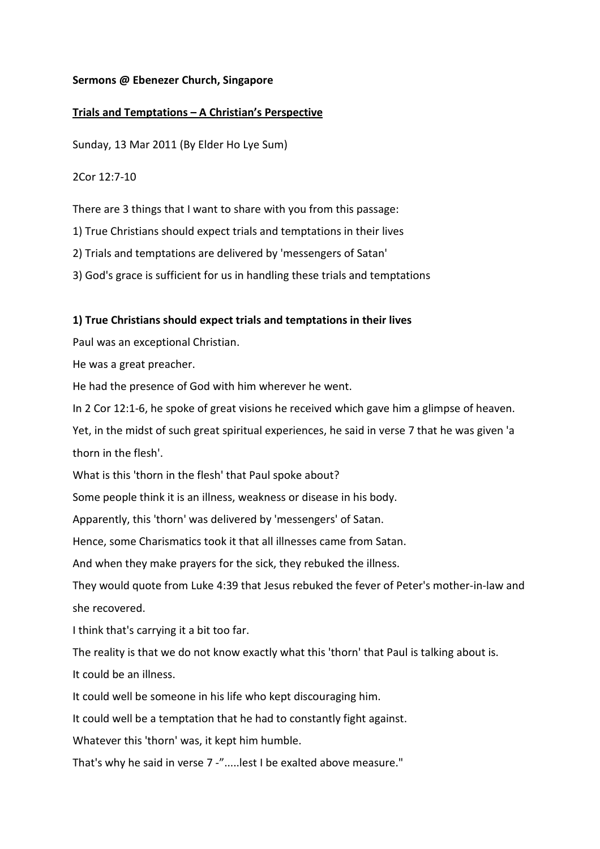### Sermons @ Ebenezer Church, Singapore

## Trials and Temptations – A Christian's Perspective

Sunday, 13 Mar 2011 (By Elder Ho Lye Sum)

2Cor 12:7-10

There are 3 things that I want to share with you from this passage:

1) True Christians should expect trials and temptations in their lives

2) Trials and temptations are delivered by 'messengers of Satan'

3) God's grace is sufficient for us in handling these trials and temptations

### 1) True Christians should expect trials and temptations in their lives

Paul was an exceptional Christian.

He was a great preacher.

He had the presence of God with him wherever he went.

In 2 Cor 12:1-6, he spoke of great visions he received which gave him a glimpse of heaven.

Yet, in the midst of such great spiritual experiences, he said in verse 7 that he was given 'a thorn in the flesh'.

What is this 'thorn in the flesh' that Paul spoke about?

Some people think it is an illness, weakness or disease in his body.

Apparently, this 'thorn' was delivered by 'messengers' of Satan.

Hence, some Charismatics took it that all illnesses came from Satan.

And when they make prayers for the sick, they rebuked the illness.

They would quote from Luke 4:39 that Jesus rebuked the fever of Peter's mother-in-law and she recovered.

I think that's carrying it a bit too far.

The reality is that we do not know exactly what this 'thorn' that Paul is talking about is.

It could be an illness.

It could well be someone in his life who kept discouraging him.

It could well be a temptation that he had to constantly fight against.

Whatever this 'thorn' was, it kept him humble.

That's why he said in verse 7 -".....lest I be exalted above measure."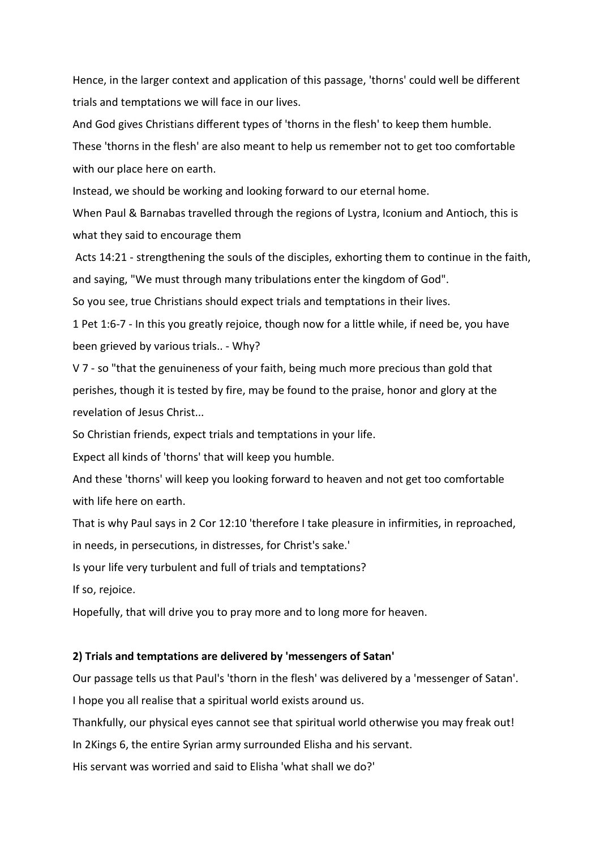Hence, in the larger context and application of this passage, 'thorns' could well be different trials and temptations we will face in our lives.

And God gives Christians different types of 'thorns in the flesh' to keep them humble.

These 'thorns in the flesh' are also meant to help us remember not to get too comfortable with our place here on earth.

Instead, we should be working and looking forward to our eternal home.

When Paul & Barnabas travelled through the regions of Lystra, Iconium and Antioch, this is what they said to encourage them

 Acts 14:21 - strengthening the souls of the disciples, exhorting them to continue in the faith, and saying, "We must through many tribulations enter the kingdom of God".

So you see, true Christians should expect trials and temptations in their lives.

1 Pet 1:6-7 - In this you greatly rejoice, though now for a little while, if need be, you have been grieved by various trials.. - Why?

V 7 - so "that the genuineness of your faith, being much more precious than gold that perishes, though it is tested by fire, may be found to the praise, honor and glory at the revelation of Jesus Christ...

So Christian friends, expect trials and temptations in your life.

Expect all kinds of 'thorns' that will keep you humble.

And these 'thorns' will keep you looking forward to heaven and not get too comfortable with life here on earth.

That is why Paul says in 2 Cor 12:10 'therefore I take pleasure in infirmities, in reproached,

in needs, in persecutions, in distresses, for Christ's sake.'

Is your life very turbulent and full of trials and temptations?

If so, rejoice.

Hopefully, that will drive you to pray more and to long more for heaven.

#### 2) Trials and temptations are delivered by 'messengers of Satan'

Our passage tells us that Paul's 'thorn in the flesh' was delivered by a 'messenger of Satan'.

I hope you all realise that a spiritual world exists around us.

Thankfully, our physical eyes cannot see that spiritual world otherwise you may freak out!

In 2Kings 6, the entire Syrian army surrounded Elisha and his servant.

His servant was worried and said to Elisha 'what shall we do?'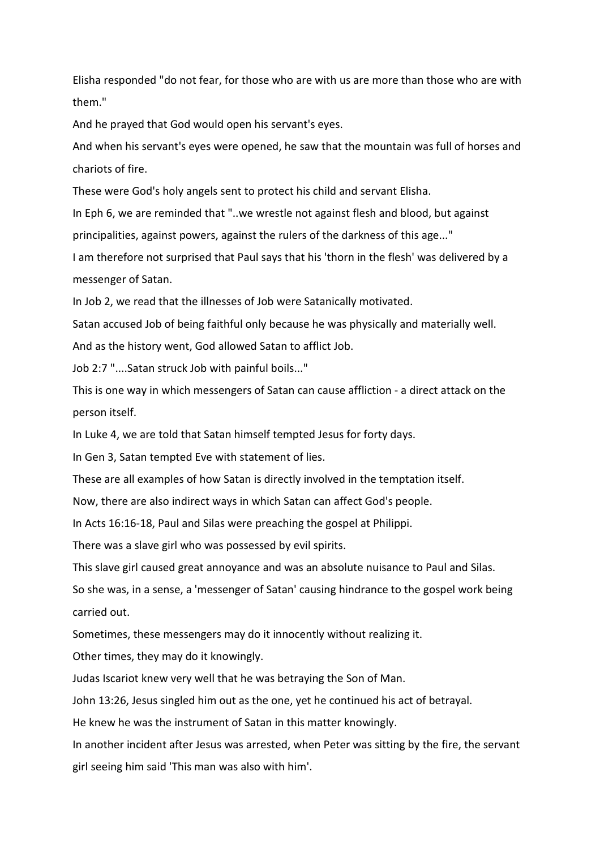Elisha responded "do not fear, for those who are with us are more than those who are with them."

And he prayed that God would open his servant's eyes.

And when his servant's eyes were opened, he saw that the mountain was full of horses and chariots of fire.

These were God's holy angels sent to protect his child and servant Elisha.

In Eph 6, we are reminded that "..we wrestle not against flesh and blood, but against principalities, against powers, against the rulers of the darkness of this age..."

I am therefore not surprised that Paul says that his 'thorn in the flesh' was delivered by a messenger of Satan.

In Job 2, we read that the illnesses of Job were Satanically motivated.

Satan accused Job of being faithful only because he was physically and materially well.

And as the history went, God allowed Satan to afflict Job.

Job 2:7 "....Satan struck Job with painful boils..."

This is one way in which messengers of Satan can cause affliction - a direct attack on the person itself.

In Luke 4, we are told that Satan himself tempted Jesus for forty days.

In Gen 3, Satan tempted Eve with statement of lies.

These are all examples of how Satan is directly involved in the temptation itself.

Now, there are also indirect ways in which Satan can affect God's people.

In Acts 16:16-18, Paul and Silas were preaching the gospel at Philippi.

There was a slave girl who was possessed by evil spirits.

This slave girl caused great annoyance and was an absolute nuisance to Paul and Silas.

So she was, in a sense, a 'messenger of Satan' causing hindrance to the gospel work being carried out.

Sometimes, these messengers may do it innocently without realizing it.

Other times, they may do it knowingly.

Judas Iscariot knew very well that he was betraying the Son of Man.

John 13:26, Jesus singled him out as the one, yet he continued his act of betrayal.

He knew he was the instrument of Satan in this matter knowingly.

In another incident after Jesus was arrested, when Peter was sitting by the fire, the servant girl seeing him said 'This man was also with him'.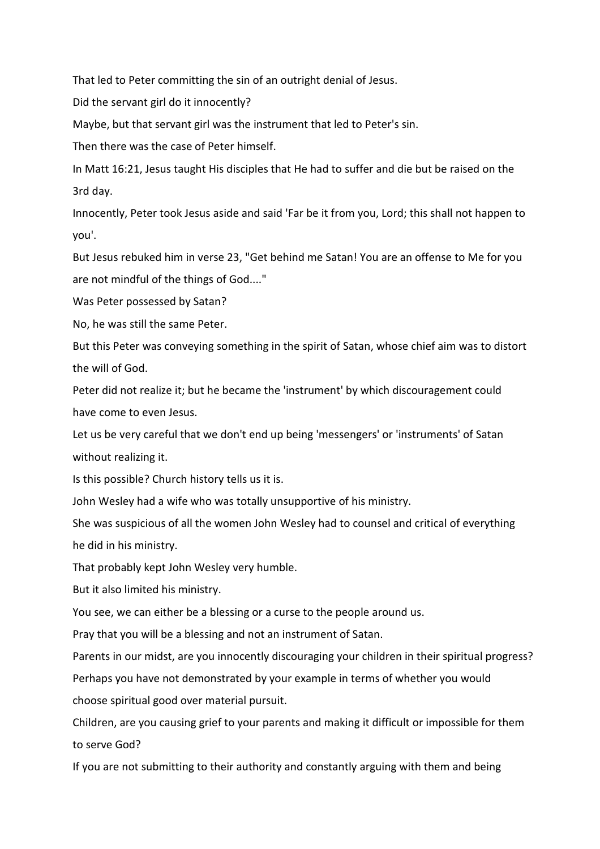That led to Peter committing the sin of an outright denial of Jesus.

Did the servant girl do it innocently?

Maybe, but that servant girl was the instrument that led to Peter's sin.

Then there was the case of Peter himself.

In Matt 16:21, Jesus taught His disciples that He had to suffer and die but be raised on the 3rd day.

Innocently, Peter took Jesus aside and said 'Far be it from you, Lord; this shall not happen to you'.

But Jesus rebuked him in verse 23, "Get behind me Satan! You are an offense to Me for you are not mindful of the things of God...."

Was Peter possessed by Satan?

No, he was still the same Peter.

But this Peter was conveying something in the spirit of Satan, whose chief aim was to distort the will of God.

Peter did not realize it; but he became the 'instrument' by which discouragement could have come to even Jesus.

Let us be very careful that we don't end up being 'messengers' or 'instruments' of Satan without realizing it.

Is this possible? Church history tells us it is.

John Wesley had a wife who was totally unsupportive of his ministry.

She was suspicious of all the women John Wesley had to counsel and critical of everything he did in his ministry.

That probably kept John Wesley very humble.

But it also limited his ministry.

You see, we can either be a blessing or a curse to the people around us.

Pray that you will be a blessing and not an instrument of Satan.

Parents in our midst, are you innocently discouraging your children in their spiritual progress? Perhaps you have not demonstrated by your example in terms of whether you would choose spiritual good over material pursuit.

Children, are you causing grief to your parents and making it difficult or impossible for them to serve God?

If you are not submitting to their authority and constantly arguing with them and being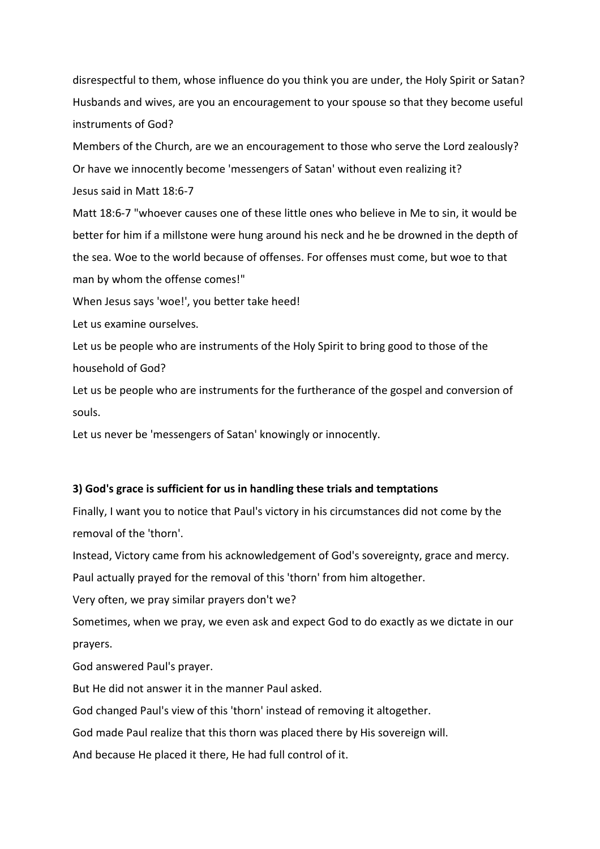disrespectful to them, whose influence do you think you are under, the Holy Spirit or Satan? Husbands and wives, are you an encouragement to your spouse so that they become useful instruments of God?

Members of the Church, are we an encouragement to those who serve the Lord zealously? Or have we innocently become 'messengers of Satan' without even realizing it? Jesus said in Matt 18:6-7

Matt 18:6-7 "whoever causes one of these little ones who believe in Me to sin, it would be better for him if a millstone were hung around his neck and he be drowned in the depth of the sea. Woe to the world because of offenses. For offenses must come, but woe to that man by whom the offense comes!"

When Jesus says 'woe!', you better take heed!

Let us examine ourselves.

Let us be people who are instruments of the Holy Spirit to bring good to those of the household of God?

Let us be people who are instruments for the furtherance of the gospel and conversion of souls.

Let us never be 'messengers of Satan' knowingly or innocently.

### 3) God's grace is sufficient for us in handling these trials and temptations

Finally, I want you to notice that Paul's victory in his circumstances did not come by the removal of the 'thorn'.

Instead, Victory came from his acknowledgement of God's sovereignty, grace and mercy.

Paul actually prayed for the removal of this 'thorn' from him altogether.

Very often, we pray similar prayers don't we?

Sometimes, when we pray, we even ask and expect God to do exactly as we dictate in our prayers.

God answered Paul's prayer.

But He did not answer it in the manner Paul asked.

God changed Paul's view of this 'thorn' instead of removing it altogether.

God made Paul realize that this thorn was placed there by His sovereign will.

And because He placed it there, He had full control of it.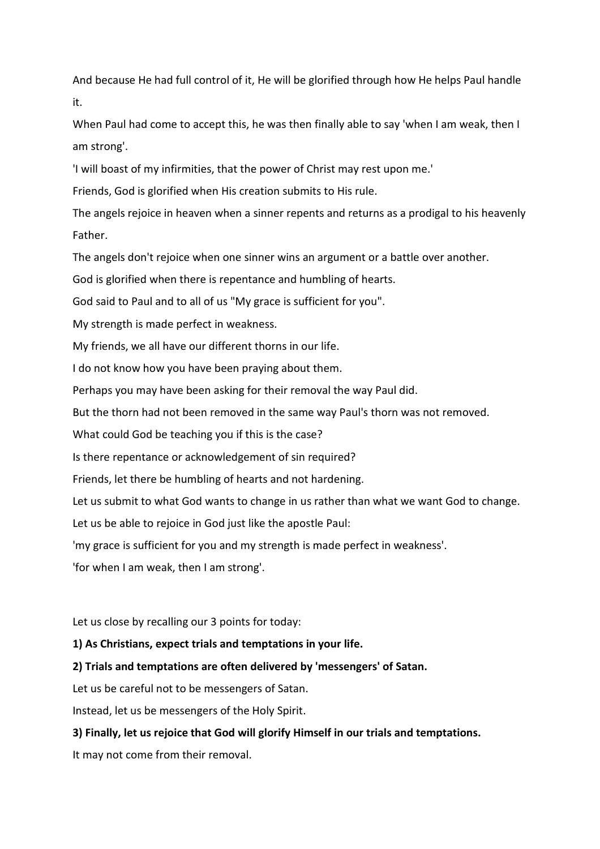And because He had full control of it, He will be glorified through how He helps Paul handle it.

When Paul had come to accept this, he was then finally able to say 'when I am weak, then I am strong'.

'I will boast of my infirmities, that the power of Christ may rest upon me.'

Friends, God is glorified when His creation submits to His rule.

The angels rejoice in heaven when a sinner repents and returns as a prodigal to his heavenly Father.

The angels don't rejoice when one sinner wins an argument or a battle over another.

God is glorified when there is repentance and humbling of hearts.

God said to Paul and to all of us "My grace is sufficient for you".

My strength is made perfect in weakness.

My friends, we all have our different thorns in our life.

I do not know how you have been praying about them.

Perhaps you may have been asking for their removal the way Paul did.

But the thorn had not been removed in the same way Paul's thorn was not removed.

What could God be teaching you if this is the case?

Is there repentance or acknowledgement of sin required?

Friends, let there be humbling of hearts and not hardening.

Let us submit to what God wants to change in us rather than what we want God to change.

Let us be able to rejoice in God just like the apostle Paul:

'my grace is sufficient for you and my strength is made perfect in weakness'.

'for when I am weak, then I am strong'.

Let us close by recalling our 3 points for today:

## 1) As Christians, expect trials and temptations in your life.

2) Trials and temptations are often delivered by 'messengers' of Satan.

Let us be careful not to be messengers of Satan.

Instead, let us be messengers of the Holy Spirit.

# 3) Finally, let us rejoice that God will glorify Himself in our trials and temptations.

It may not come from their removal.